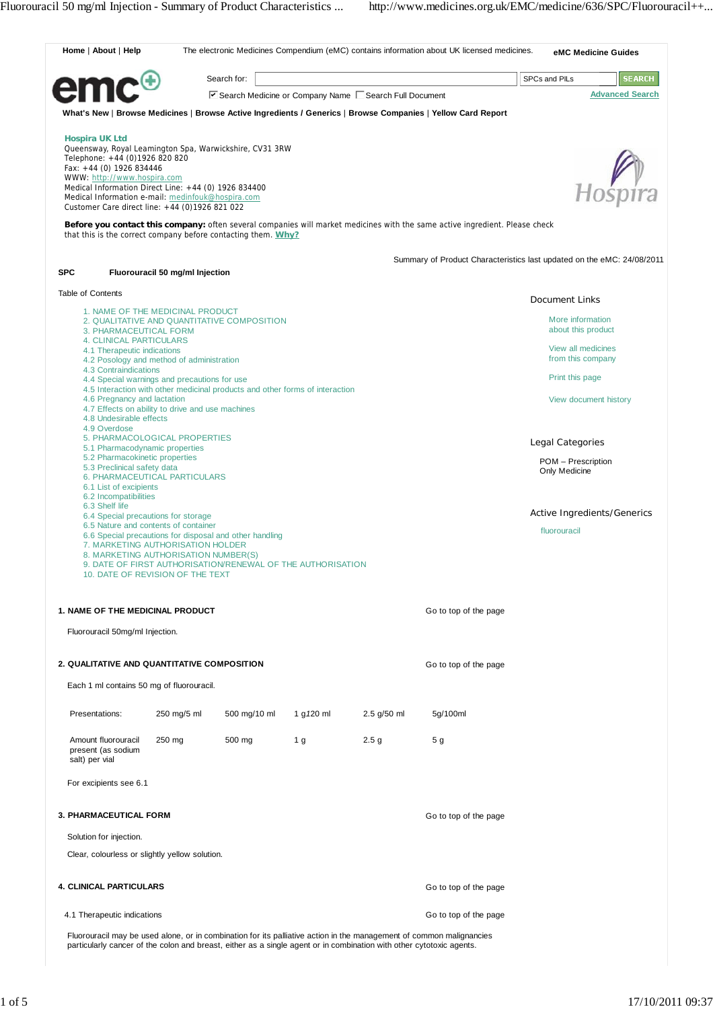| Home   About   Help                                                                                        |                                                                                                                                                                                                                                                                                         |             |              |                |                                                      | The electronic Medicines Compendium (eMC) contains information about UK licensed medicines.                                  |                                         | eMC Medicine Guides         |  |
|------------------------------------------------------------------------------------------------------------|-----------------------------------------------------------------------------------------------------------------------------------------------------------------------------------------------------------------------------------------------------------------------------------------|-------------|--------------|----------------|------------------------------------------------------|------------------------------------------------------------------------------------------------------------------------------|-----------------------------------------|-----------------------------|--|
|                                                                                                            |                                                                                                                                                                                                                                                                                         | Search for: |              |                |                                                      |                                                                                                                              | SPCs and PILs                           | <b>SEARCH</b>               |  |
|                                                                                                            |                                                                                                                                                                                                                                                                                         |             |              |                | Search Medicine or Company Name Search Full Document |                                                                                                                              |                                         | <b>Advanced Search</b>      |  |
|                                                                                                            |                                                                                                                                                                                                                                                                                         |             |              |                |                                                      | What's New   Browse Medicines   Browse Active Ingredients / Generics   Browse Companies   Yellow Card Report                 |                                         |                             |  |
| <b>Hospira UK Ltd</b><br>Fax: +44 (0) 1926 834446                                                          | Queensway, Royal Leamington Spa, Warwickshire, CV31 3RW<br>Telephone: +44 (0)1926 820 820<br>WWW: http://www.hospira.com<br>Medical Information Direct Line: +44 (0) 1926 834400<br>Medical Information e-mail: medinfouk@hospira.com<br>Customer Care direct line: +44 (0)1926 821 022 |             |              |                |                                                      |                                                                                                                              |                                         | Hosnira                     |  |
|                                                                                                            | that this is the correct company before contacting them. Why?                                                                                                                                                                                                                           |             |              |                |                                                      | Before you contact this company: often several companies will market medicines with the same active ingredient. Please check |                                         |                             |  |
|                                                                                                            |                                                                                                                                                                                                                                                                                         |             |              |                |                                                      | Summary of Product Characteristics last updated on the eMC: 24/08/2011                                                       |                                         |                             |  |
| <b>SPC</b>                                                                                                 | Fluorouracil 50 mg/ml Injection                                                                                                                                                                                                                                                         |             |              |                |                                                      |                                                                                                                              |                                         |                             |  |
| <b>Table of Contents</b>                                                                                   |                                                                                                                                                                                                                                                                                         |             |              |                |                                                      |                                                                                                                              | Document Links                          |                             |  |
|                                                                                                            | 1. NAME OF THE MEDICINAL PRODUCT<br>2. QUALITATIVE AND QUANTITATIVE COMPOSITION<br>3. PHARMACEUTICAL FORM                                                                                                                                                                               |             |              |                |                                                      |                                                                                                                              | More information<br>about this product  |                             |  |
| <b>4. CLINICAL PARTICULARS</b><br>4.1 Therapeutic indications<br>4.2 Posology and method of administration |                                                                                                                                                                                                                                                                                         |             |              |                |                                                      |                                                                                                                              | View all medicines<br>from this company |                             |  |
|                                                                                                            | 4.3 Contraindications<br>4.4 Special warnings and precautions for use                                                                                                                                                                                                                   |             |              |                |                                                      |                                                                                                                              | Print this page                         |                             |  |
|                                                                                                            | 4.5 Interaction with other medicinal products and other forms of interaction<br>4.6 Pregnancy and lactation<br>4.7 Effects on ability to drive and use machines<br>4.8 Undesirable effects                                                                                              |             |              |                |                                                      |                                                                                                                              |                                         | View document history       |  |
| 4.9 Overdose                                                                                               | 5. PHARMACOLOGICAL PROPERTIES                                                                                                                                                                                                                                                           |             |              |                |                                                      |                                                                                                                              |                                         |                             |  |
|                                                                                                            | 5.1 Pharmacodynamic properties<br>5.2 Pharmacokinetic properties                                                                                                                                                                                                                        |             |              |                |                                                      |                                                                                                                              | Legal Categories<br>POM - Prescription  |                             |  |
| 6.2 Incompatibilities                                                                                      | 5.3 Preclinical safety data<br>6. PHARMACEUTICAL PARTICULARS<br>6.1 List of excipients                                                                                                                                                                                                  |             |              |                |                                                      |                                                                                                                              | Only Medicine                           |                             |  |
| 6.3 Shelf life                                                                                             | 6.4 Special precautions for storage                                                                                                                                                                                                                                                     |             |              |                |                                                      |                                                                                                                              |                                         | Active Ingredients/Generics |  |
|                                                                                                            | 6.5 Nature and contents of container<br>6.6 Special precautions for disposal and other handling<br>7. MARKETING AUTHORISATION HOLDER<br>8. MARKETING AUTHORISATION NUMBER(S)<br>9. DATE OF FIRST AUTHORISATION/RENEWAL OF THE AUTHORISATION<br>10. DATE OF REVISION OF THE TEXT         |             |              |                |                                                      | fluorouracil                                                                                                                 |                                         |                             |  |
| 1. NAME OF THE MEDICINAL PRODUCT                                                                           | Fluorouracil 50mg/ml Injection.                                                                                                                                                                                                                                                         |             |              |                |                                                      | Go to top of the page                                                                                                        |                                         |                             |  |
|                                                                                                            |                                                                                                                                                                                                                                                                                         |             |              |                |                                                      |                                                                                                                              |                                         |                             |  |
| 2. QUALITATIVE AND QUANTITATIVE COMPOSITION                                                                |                                                                                                                                                                                                                                                                                         |             |              |                |                                                      | Go to top of the page                                                                                                        |                                         |                             |  |
|                                                                                                            | Each 1 ml contains 50 mg of fluorouracil.                                                                                                                                                                                                                                               |             |              |                |                                                      |                                                                                                                              |                                         |                             |  |
| Presentations:                                                                                             | 250 mg/5 ml                                                                                                                                                                                                                                                                             |             | 500 mg/10 ml | 1 g 120 ml     | 2.5 g/50 ml                                          | 5g/100ml                                                                                                                     |                                         |                             |  |
| Amount fluorouracil<br>present (as sodium<br>salt) per vial                                                | 250 mg                                                                                                                                                                                                                                                                                  |             | 500 mg       | 1 <sub>g</sub> | 2.5 <sub>g</sub>                                     | 5 g                                                                                                                          |                                         |                             |  |
| For excipients see 6.1                                                                                     |                                                                                                                                                                                                                                                                                         |             |              |                |                                                      |                                                                                                                              |                                         |                             |  |
| 3. PHARMACEUTICAL FORM                                                                                     |                                                                                                                                                                                                                                                                                         |             |              |                | Go to top of the page                                |                                                                                                                              |                                         |                             |  |
| Solution for injection.                                                                                    |                                                                                                                                                                                                                                                                                         |             |              |                |                                                      |                                                                                                                              |                                         |                             |  |
|                                                                                                            | Clear, colourless or slightly yellow solution.                                                                                                                                                                                                                                          |             |              |                |                                                      |                                                                                                                              |                                         |                             |  |
| <b>4. CLINICAL PARTICULARS</b>                                                                             |                                                                                                                                                                                                                                                                                         |             |              |                |                                                      | Go to top of the page                                                                                                        |                                         |                             |  |
| 4.1 Therapeutic indications                                                                                |                                                                                                                                                                                                                                                                                         |             |              |                |                                                      | Go to top of the page                                                                                                        |                                         |                             |  |
|                                                                                                            |                                                                                                                                                                                                                                                                                         |             |              |                |                                                      |                                                                                                                              |                                         |                             |  |

Fluorouracil may be used alone, or in combination for its palliative action in the management of common malignancies particularly cancer of the colon and breast, either as a single agent or in combination with other cytotoxic agents.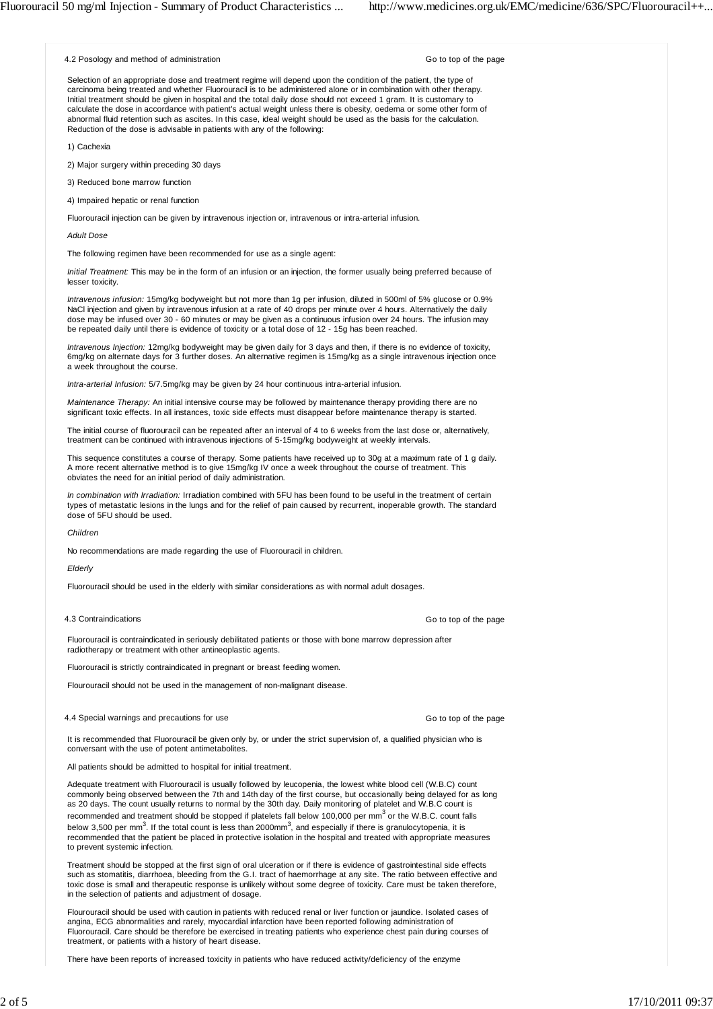4.2 Posology and method of administration

Go to top of the page

Selection of an appropriate dose and treatment regime will depend upon the condition of the patient, the type of carcinoma being treated and whether Fluorouracil is to be administered alone or in combination with other therapy. Initial treatment should be given in hospital and the total daily dose should not exceed 1 gram. It is customary to calculate the dose in accordance with patient's actual weight unless there is obesity, oedema or some other form of abnormal fluid retention such as ascites. In this case, ideal weight should be used as the basis for the calculation. Reduction of the dose is advisable in patients with any of the following:

1) Cachexia

2) Major surgery within preceding 30 days

3) Reduced bone marrow function

4) Impaired hepatic or renal function

Fluorouracil injection can be given by intravenous injection or, intravenous or intra-arterial infusion.

*Adult Dose*

The following regimen have been recommended for use as a single agent:

*Initial Treatment:* This may be in the form of an infusion or an injection, the former usually being preferred because of lesser toxicity.

*Intravenous infusion:* 15mg/kg bodyweight but not more than 1g per infusion, diluted in 500ml of 5% glucose or 0.9% NaCl injection and given by intravenous infusion at a rate of 40 drops per minute over 4 hours. Alternatively the daily dose may be infused over 30 - 60 minutes or may be given as a continuous infusion over 24 hours. The infusion may be repeated daily until there is evidence of toxicity or a total dose of 12 - 15g has been reached.

*Intravenous Injection:* 12mg/kg bodyweight may be given daily for 3 days and then, if there is no evidence of toxicity, 6mg/kg on alternate days for 3 further doses. An alternative regimen is 15mg/kg as a single intravenous injection once a week throughout the course.

*Intra-arterial Infusion:* 5/7.5mg/kg may be given by 24 hour continuous intra-arterial infusion.

*Maintenance Therapy:* An initial intensive course may be followed by maintenance therapy providing there are no significant toxic effects. In all instances, toxic side effects must disappear before maintenance therapy is started.

The initial course of fluorouracil can be repeated after an interval of 4 to 6 weeks from the last dose or, alternatively, treatment can be continued with intravenous injections of 5-15mg/kg bodyweight at weekly intervals.

This sequence constitutes a course of therapy. Some patients have received up to 30g at a maximum rate of 1 g daily. A more recent alternative method is to give 15mg/kg IV once a week throughout the course of treatment. This obviates the need for an initial period of daily administration.

*In combination with Irradiation:* Irradiation combined with 5FU has been found to be useful in the treatment of certain types of metastatic lesions in the lungs and for the relief of pain caused by recurrent, inoperable growth. The standard dose of 5FU should be used.

*Children*

No recommendations are made regarding the use of Fluorouracil in children.

*Elderly*

Fluorouracil should be used in the elderly with similar considerations as with normal adult dosages.

## 4.3 Contraindications

Go to top of the page

Go to top of the page

Fluorouracil is contraindicated in seriously debilitated patients or those with bone marrow depression after radiotherapy or treatment with other antineoplastic agents.

Fluorouracil is strictly contraindicated in pregnant or breast feeding women.

Flourouracil should not be used in the management of non-malignant disease.

4.4 Special warnings and precautions for use

It is recommended that Fluorouracil be given only by, or under the strict supervision of, a qualified physician who is conversant with the use of potent antimetabolites.

All patients should be admitted to hospital for initial treatment.

Adequate treatment with Fluorouracil is usually followed by leucopenia, the lowest white blood cell (W.B.C) count commonly being observed between the 7th and 14th day of the first course, but occasionally being delayed for as long as 20 days. The count usually returns to normal by the 30th day. Daily monitoring of platelet and W.B.C count is recommended and treatment should be stopped if platelets fall below 100,000 per mm<sup>3</sup> or the W.B.C. count falls below 3,500 per mm<sup>3</sup>. If the total count is less than 2000mm<sup>3</sup>, and especially if there is granulocytopenia, it is recommended that the patient be placed in protective isolation in the hospital and treated with appropriate measures to prevent systemic infection.

Treatment should be stopped at the first sign of oral ulceration or if there is evidence of gastrointestinal side effects such as stomatitis, diarrhoea, bleeding from the G.I. tract of haemorrhage at any site. The ratio between effective and toxic dose is small and therapeutic response is unlikely without some degree of toxicity. Care must be taken therefore, in the selection of patients and adjustment of dosage.

Flourouracil should be used with caution in patients with reduced renal or liver function or jaundice. Isolated cases of angina, ECG abnormalities and rarely, myocardial infarction have been reported following administration of Fluorouracil. Care should be therefore be exercised in treating patients who experience chest pain during courses of treatment, or patients with a history of heart disease.

There have been reports of increased toxicity in patients who have reduced activity/deficiency of the enzyme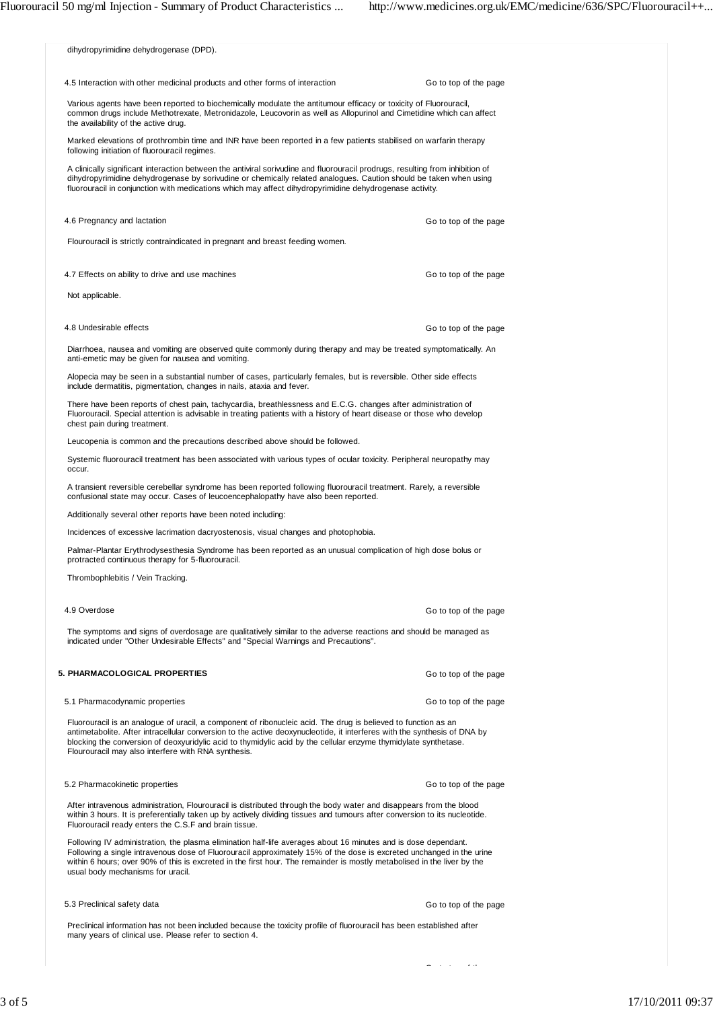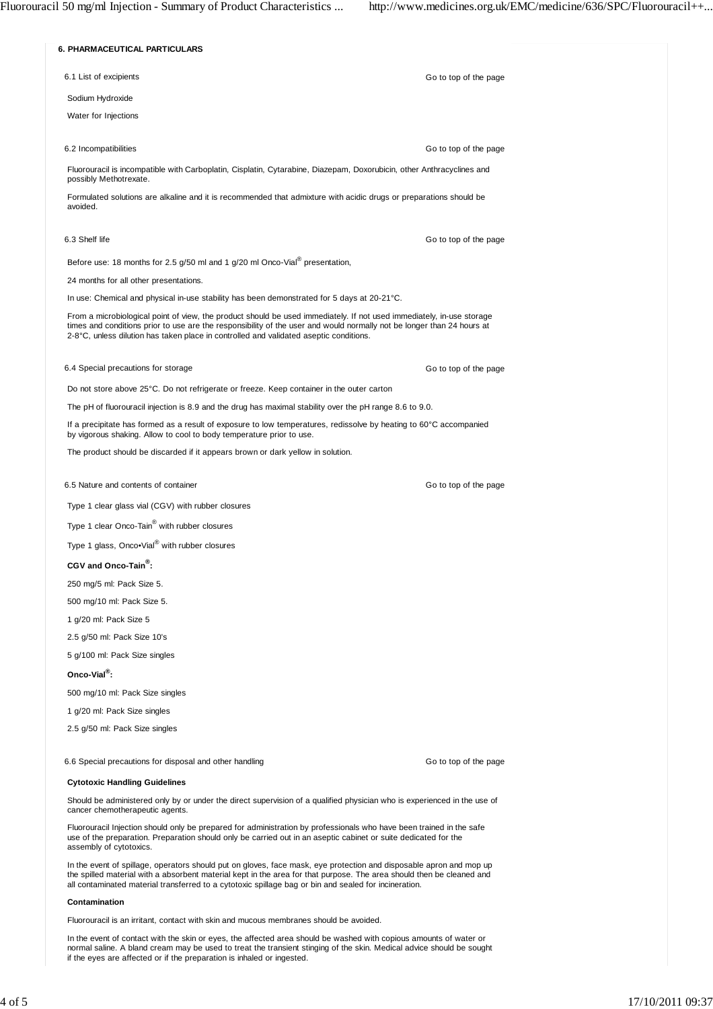

the spilled material with a absorbent material kept in the area for that purpose. The area should then be cleaned and all contaminated material transferred to a cytotoxic spillage bag or bin and sealed for incineration.

## **Contamination**

Fluorouracil is an irritant, contact with skin and mucous membranes should be avoided.

In the event of contact with the skin or eyes, the affected area should be washed with copious amounts of water or normal saline. A bland cream may be used to treat the transient stinging of the skin. Medical advice should be sought if the eyes are affected or if the preparation is inhaled or ingested.